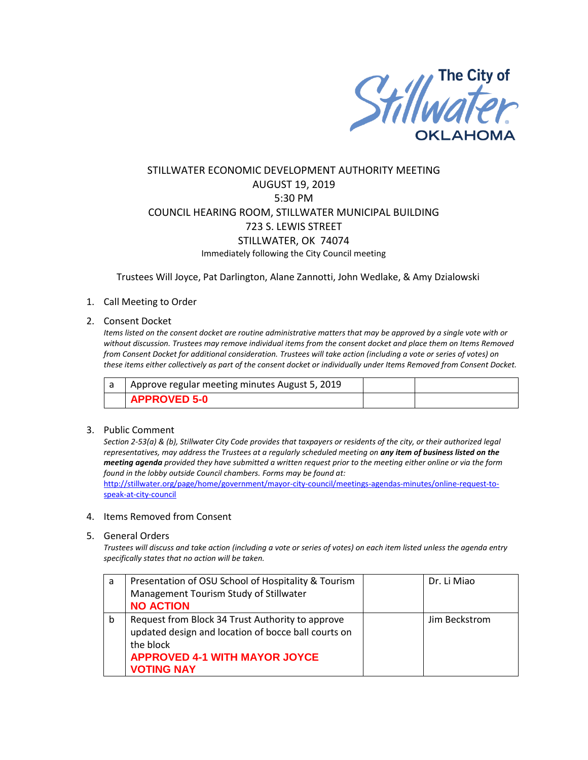

# STILLWATER ECONOMIC DEVELOPMENT AUTHORITY MEETING AUGUST 19, 2019 5:30 PM COUNCIL HEARING ROOM, STILLWATER MUNICIPAL BUILDING 723 S. LEWIS STREET STILLWATER, OK 74074 Immediately following the City Council meeting

Trustees Will Joyce, Pat Darlington, Alane Zannotti, John Wedlake, & Amy Dzialowski

## 1. Call Meeting to Order

### 2. Consent Docket

*Items listed on the consent docket are routine administrative matters that may be approved by a single vote with or without discussion. Trustees may remove individual items from the consent docket and place them on Items Removed from Consent Docket for additional consideration. Trustees will take action (including a vote or series of votes) on these items either collectively as part of the consent docket or individually under Items Removed from Consent Docket.*

| Approve regular meeting minutes August 5, 2019 |  |
|------------------------------------------------|--|
| <b>APPROVED 5-0</b>                            |  |

### 3. Public Comment

*Section 2-53(a) & (b), Stillwater City Code provides that taxpayers or residents of the city, or their authorized legal representatives, may address the Trustees at a regularly scheduled meeting on any item of business listed on the meeting agenda provided they have submitted a written request prior to the meeting either online or via the form found in the lobby outside Council chambers. Forms may be found at:* 

[http://stillwater.org/page/home/government/mayor-city-council/meetings-agendas-minutes/online-request-to](http://stillwater.org/page/home/government/mayor-city-council/meetings-agendas-minutes/online-request-to-speak-at-city-council)[speak-at-city-council](http://stillwater.org/page/home/government/mayor-city-council/meetings-agendas-minutes/online-request-to-speak-at-city-council)

### 4. Items Removed from Consent

#### 5. General Orders

*Trustees will discuss and take action (including a vote or series of votes) on each item listed unless the agenda entry specifically states that no action will be taken.*

| a | Presentation of OSU School of Hospitality & Tourism                                                                                                                               | Dr. Li Miao   |
|---|-----------------------------------------------------------------------------------------------------------------------------------------------------------------------------------|---------------|
|   | Management Tourism Study of Stillwater                                                                                                                                            |               |
|   | <b>NO ACTION</b>                                                                                                                                                                  |               |
| b | Request from Block 34 Trust Authority to approve<br>updated design and location of bocce ball courts on<br>the block<br><b>APPROVED 4-1 WITH MAYOR JOYCE</b><br><b>VOTING NAY</b> | Jim Beckstrom |